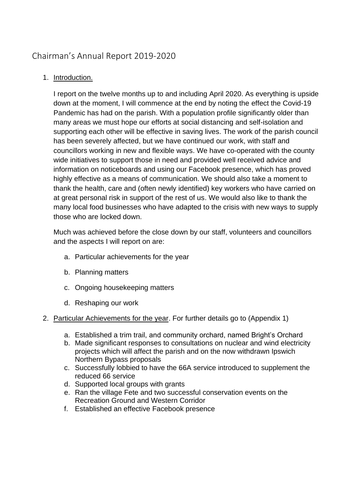# Chairman's Annual Report 2019-2020

## 1. Introduction.

I report on the twelve months up to and including April 2020. As everything is upside down at the moment, I will commence at the end by noting the effect the Covid-19 Pandemic has had on the parish. With a population profile significantly older than many areas we must hope our efforts at social distancing and self-isolation and supporting each other will be effective in saving lives. The work of the parish council has been severely affected, but we have continued our work, with staff and councillors working in new and flexible ways. We have co-operated with the county wide initiatives to support those in need and provided well received advice and information on noticeboards and using our Facebook presence, which has proved highly effective as a means of communication. We should also take a moment to thank the health, care and (often newly identified) key workers who have carried on at great personal risk in support of the rest of us. We would also like to thank the many local food businesses who have adapted to the crisis with new ways to supply those who are locked down.

Much was achieved before the close down by our staff, volunteers and councillors and the aspects I will report on are:

- a. Particular achievements for the year
- b. Planning matters
- c. Ongoing housekeeping matters
- d. Reshaping our work
- 2. Particular Achievements for the year. For further details go to (Appendix 1)
	- a. Established a trim trail, and community orchard, named Bright's Orchard
	- b. Made significant responses to consultations on nuclear and wind electricity projects which will affect the parish and on the now withdrawn Ipswich Northern Bypass proposals
	- c. Successfully lobbied to have the 66A service introduced to supplement the reduced 66 service
	- d. Supported local groups with grants
	- e. Ran the village Fete and two successful conservation events on the Recreation Ground and Western Corridor
	- f. Established an effective Facebook presence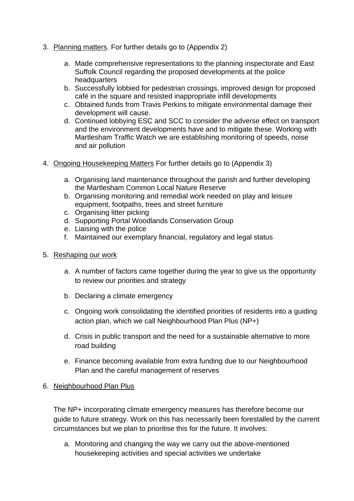- 3. Planning matters. For further details go to (Appendix 2)
	- a. Made comprehensive representations to the planning inspectorate and East Suffolk Council regarding the proposed developments at the police headquarters
	- b. Successfully lobbied for pedestrian crossings, improved design for proposed café in the square and resisted inappropriate infill developments
	- c. Obtained funds from Travis Perkins to mitigate environmental damage their development will cause.
	- d. Continued lobbying ESC and SCC to consider the adverse effect on transport and the environment developments have and to mitigate these. Working with Martlesham Traffic Watch we are establishing monitoring of speeds, noise and air pollution
- 4. Ongoing Housekeeping Matters For further details go to (Appendix 3)
	- a. Organising land maintenance throughout the parish and further developing the Martlesham Common Local Nature Reserve
	- b. Organising monitoring and remedial work needed on play and leisure equipment, footpaths, trees and street furniture
	- c. Organising litter picking
	- d. Supporting Portal Woodlands Conservation Group
	- e. Liaising with the police
	- f. Maintained our exemplary financial, regulatory and legal status
- 5. Reshaping our work
	- a. A number of factors came together during the year to give us the opportunity to review our priorities and strategy
	- b. Declaring a climate emergency
	- c. Ongoing work consolidating the identified priorities of residents into a guiding action plan, which we call Neighbourhood Plan Plus (NP+)
	- d. Crisis in public transport and the need for a sustainable alternative to more road building
	- e. Finance becoming available from extra funding due to our Neighbourhood Plan and the careful management of reserves

#### 6. Neighbourhood Plan Plus

The NP+ incorporating climate emergency measures has therefore become our guide to future strategy. Work on this has necessarily been forestalled by the current circumstances but we plan to prioritise this for the future. It involves:

a. Monitoring and changing the way we carry out the above-mentioned housekeeping activities and special activities we undertake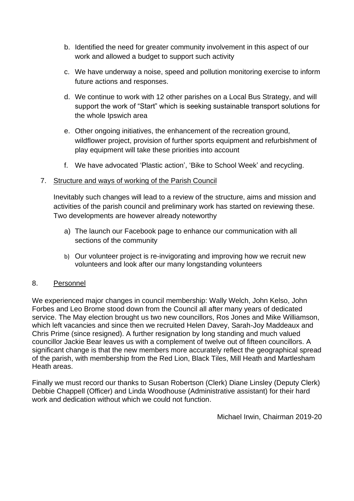- b. Identified the need for greater community involvement in this aspect of our work and allowed a budget to support such activity
- c. We have underway a noise, speed and pollution monitoring exercise to inform future actions and responses.
- d. We continue to work with 12 other parishes on a Local Bus Strategy, and will support the work of "Start" which is seeking sustainable transport solutions for the whole Ipswich area
- e. Other ongoing initiatives, the enhancement of the recreation ground, wildflower project, provision of further sports equipment and refurbishment of play equipment will take these priorities into account
- f. We have advocated 'Plastic action', 'Bike to School Week' and recycling.

### 7. Structure and ways of working of the Parish Council

Inevitably such changes will lead to a review of the structure, aims and mission and activities of the parish council and preliminary work has started on reviewing these. Two developments are however already noteworthy

- a) The launch our Facebook page to enhance our communication with all sections of the community
- b) Our volunteer project is re-invigorating and improving how we recruit new volunteers and look after our many longstanding volunteers

### 8. Personnel

We experienced major changes in council membership: Wally Welch, John Kelso, John Forbes and Leo Brome stood down from the Council all after many years of dedicated service. The May election brought us two new councillors, Ros Jones and Mike Williamson, which left vacancies and since then we recruited Helen Davey, Sarah-Joy Maddeaux and Chris Prime (since resigned). A further resignation by long standing and much valued councillor Jackie Bear leaves us with a complement of twelve out of fifteen councillors. A significant change is that the new members more accurately reflect the geographical spread of the parish, with membership from the Red Lion, Black Tiles, Mill Heath and Martlesham Heath areas.

Finally we must record our thanks to Susan Robertson (Clerk) Diane Linsley (Deputy Clerk) Debbie Chappell (Officer) and Linda Woodhouse (Administrative assistant) for their hard work and dedication without which we could not function.

Michael Irwin, Chairman 2019-20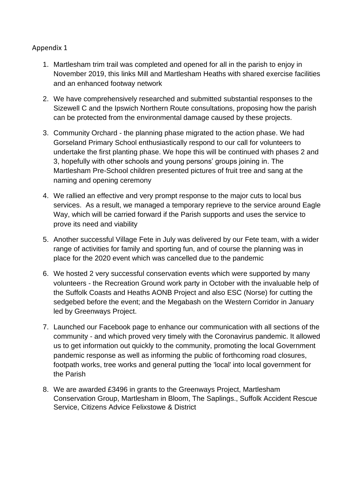#### Appendix 1

- 1. Martlesham trim trail was completed and opened for all in the parish to enjoy in November 2019, this links Mill and Martlesham Heaths with shared exercise facilities and an enhanced footway network
- 2. We have comprehensively researched and submitted substantial responses to the Sizewell C and the Ipswich Northern Route consultations, proposing how the parish can be protected from the environmental damage caused by these projects.
- 3. Community Orchard the planning phase migrated to the action phase. We had Gorseland Primary School enthusiastically respond to our call for volunteers to undertake the first planting phase. We hope this will be continued with phases 2 and 3, hopefully with other schools and young persons' groups joining in. The Martlesham Pre-School children presented pictures of fruit tree and sang at the naming and opening ceremony
- 4. We rallied an effective and very prompt response to the major cuts to local bus services. As a result, we managed a temporary reprieve to the service around Eagle Way, which will be carried forward if the Parish supports and uses the service to prove its need and viability
- 5. Another successful Village Fete in July was delivered by our Fete team, with a wider range of activities for family and sporting fun, and of course the planning was in place for the 2020 event which was cancelled due to the pandemic
- 6. We hosted 2 very successful conservation events which were supported by many volunteers - the Recreation Ground work party in October with the invaluable help of the Suffolk Coasts and Heaths AONB Project and also ESC (Norse) for cutting the sedgebed before the event; and the Megabash on the Western Corridor in January led by Greenways Project.
- 7. Launched our Facebook page to enhance our communication with all sections of the community - and which proved very timely with the Coronavirus pandemic. It allowed us to get information out quickly to the community, promoting the local Government pandemic response as well as informing the public of forthcoming road closures, footpath works, tree works and general putting the 'local' into local government for the Parish
- 8. We are awarded £3496 in grants to the Greenways Project, Martlesham Conservation Group, Martlesham in Bloom, The Saplings., Suffolk Accident Rescue Service, Citizens Advice Felixstowe & District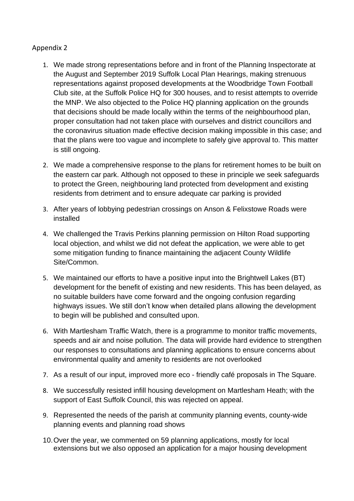#### Appendix 2

- 1. We made strong representations before and in front of the Planning Inspectorate at the August and September 2019 Suffolk Local Plan Hearings, making strenuous representations against proposed developments at the Woodbridge Town Football Club site, at the Suffolk Police HQ for 300 houses, and to resist attempts to override the MNP. We also objected to the Police HQ planning application on the grounds that decisions should be made locally within the terms of the neighbourhood plan, proper consultation had not taken place with ourselves and district councillors and the coronavirus situation made effective decision making impossible in this case; and that the plans were too vague and incomplete to safely give approval to. This matter is still ongoing.
- 2. We made a comprehensive response to the plans for retirement homes to be built on the eastern car park. Although not opposed to these in principle we seek safeguards to protect the Green, neighbouring land protected from development and existing residents from detriment and to ensure adequate car parking is provided
- 3. After years of lobbying pedestrian crossings on Anson & Felixstowe Roads were installed
- 4. We challenged the Travis Perkins planning permission on Hilton Road supporting local objection, and whilst we did not defeat the application, we were able to get some mitigation funding to finance maintaining the adjacent County Wildlife Site/Common.
- 5. We maintained our efforts to have a positive input into the Brightwell Lakes (BT) development for the benefit of existing and new residents. This has been delayed, as no suitable builders have come forward and the ongoing confusion regarding highways issues. We still don't know when detailed plans allowing the development to begin will be published and consulted upon.
- 6. With Martlesham Traffic Watch, there is a programme to monitor traffic movements, speeds and air and noise pollution. The data will provide hard evidence to strengthen our responses to consultations and planning applications to ensure concerns about environmental quality and amenity to residents are not overlooked
- 7. As a result of our input, improved more eco friendly café proposals in The Square.
- 8. We successfully resisted infill housing development on Martlesham Heath; with the support of East Suffolk Council, this was rejected on appeal.
- 9. Represented the needs of the parish at community planning events, county-wide planning events and planning road shows
- 10.Over the year, we commented on 59 planning applications, mostly for local extensions but we also opposed an application for a major housing development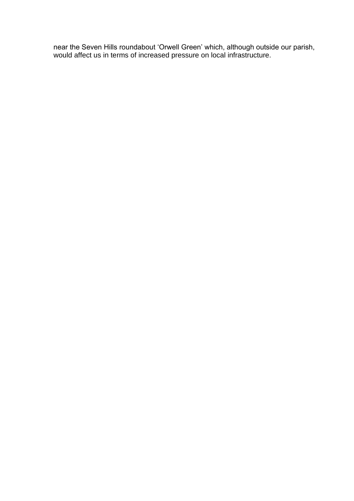near the Seven Hills roundabout 'Orwell Green' which, although outside our parish, would affect us in terms of increased pressure on local infrastructure.